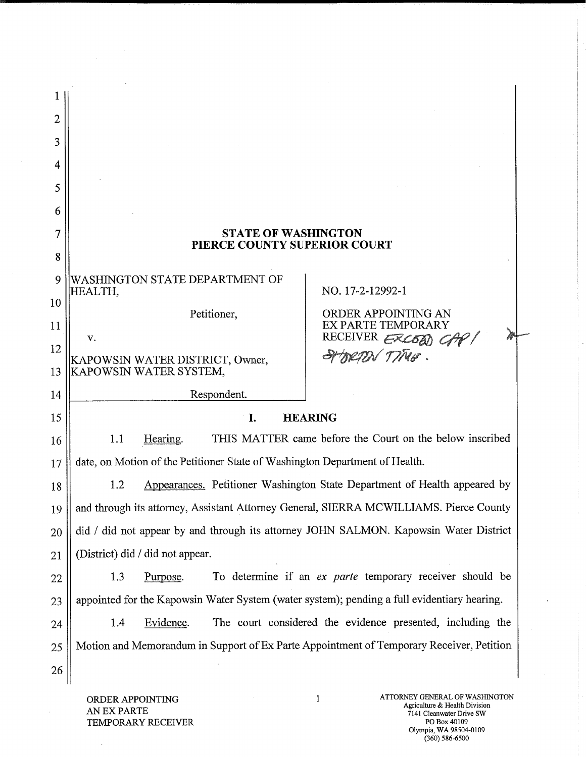| 2  |                                                                                             |                                                                                          |  |  |
|----|---------------------------------------------------------------------------------------------|------------------------------------------------------------------------------------------|--|--|
| 3  |                                                                                             |                                                                                          |  |  |
| 4  |                                                                                             |                                                                                          |  |  |
| 5  |                                                                                             |                                                                                          |  |  |
| 6  |                                                                                             |                                                                                          |  |  |
|    | <b>STATE OF WASHINGTON</b>                                                                  |                                                                                          |  |  |
| 8  | PIERCE COUNTY SUPERIOR COURT                                                                |                                                                                          |  |  |
| 9  | WASHINGTON STATE DEPARTMENT OF                                                              |                                                                                          |  |  |
| 10 | HEALTH,                                                                                     | NO. 17-2-12992-1                                                                         |  |  |
| 11 | Petitioner,                                                                                 | ORDER APPOINTING AN<br>EX PARTE TEMPORARY                                                |  |  |
| 12 | v.                                                                                          | RECEIVER ERCOOD G<br>TIME.                                                               |  |  |
| 13 | KAPOWSIN WATER DISTRICT, Owner,<br>KAPOWSIN WATER SYSTEM,                                   |                                                                                          |  |  |
| 14 | Respondent.                                                                                 |                                                                                          |  |  |
| 15 | <b>HEARING</b><br>I.                                                                        |                                                                                          |  |  |
| 16 | 1.1<br>Hearing.                                                                             | THIS MATTER came before the Court on the below inscribed                                 |  |  |
| 17 | date, on Motion of the Petitioner State of Washington Department of Health.                 |                                                                                          |  |  |
| 18 | 1.2                                                                                         | Appearances. Petitioner Washington State Department of Health appeared by                |  |  |
| 19 |                                                                                             | and through its attorney, Assistant Attorney General, SIERRA MCWILLIAMS. Pierce County   |  |  |
| 20 | did / did not appear by and through its attorney JOHN SALMON. Kapowsin Water District       |                                                                                          |  |  |
| 21 | (District) did / did not appear.                                                            |                                                                                          |  |  |
| 22 | 1.3<br>Purpose.                                                                             | To determine if an ex parte temporary receiver should be                                 |  |  |
| 23 | appointed for the Kapowsin Water System (water system); pending a full evidentiary hearing. |                                                                                          |  |  |
| 24 | Evidence.<br>1.4                                                                            | The court considered the evidence presented, including the                               |  |  |
| 25 |                                                                                             | Motion and Memorandum in Support of Ex Parte Appointment of Temporary Receiver, Petition |  |  |
| 26 |                                                                                             |                                                                                          |  |  |

ORDER APPOINTING AN EX PARTE TEMPORARY RECEIVER

 $\sim$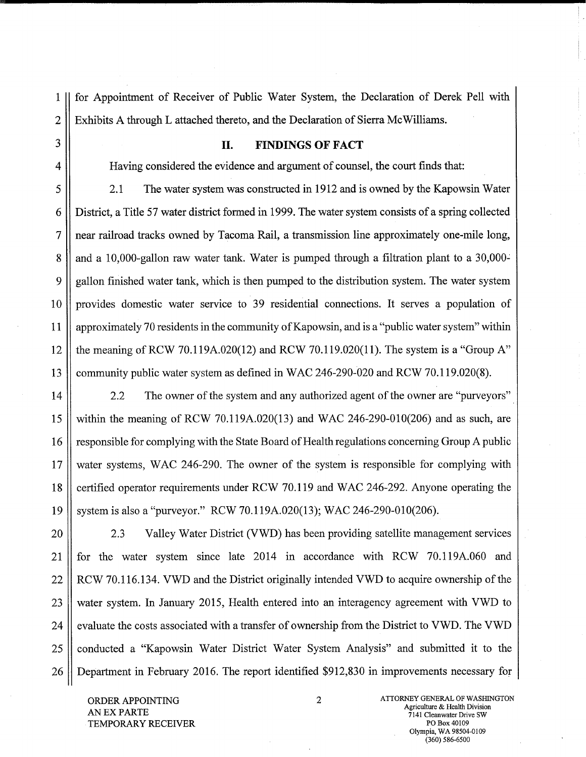1 || for Appointment of Receiver of Public Water System, the Declaration of Derek Pell with 2 | Exhibits A through L attached thereto, and the Declaration of Sierra McWilliams.

## 3 **II. FINDINGS OF FACT**

4 Having considered the evidence and argument of counsel, the court finds that:

5 2.1 The water system was constructed in 1912 and is owned by the Kapowsin Water 6 District, a Title 57 water district formed in 1999. The water system consists of a spring collected 7 near railroad tracks owned by Tacoma Rail, a transmission line approximately one-mile long, 8 and a 10,000-gallon raw water tank. Water is pumped through a filtration plant to a 30,000-9 gallon finished water tank, which is then pumped to the distribution system. The water system 10 provides domestic water service to 39 residential connections. It serves a population of 11 approximately 70 residents in the community of Kapowsin, and is a "public water system" within 12  $\parallel$  the meaning of RCW 70.119A.020(12) and RCW 70.119.020(11). The system is a "Group A" 13 community public water system as defined in WAC 246-290-020 and RCW 70.119.020(8).

14 | 2.2 The owner of the system and any authorized agent of the owner are "purveyors" 15 within the meaning of RCW 70.119A.020(13) and WAC 246-290-010(206) and as such, are 16 | responsible for complying with the State Board of Health regulations concerning Group A public 17 water systems, WAC 246-290. The owner of the system is responsible for complying with 18 certified operator requirements under RCW 70.119 and WAC 246-292. Anyone operating the 19 system is also a "purveyor." RCW 70.119A.020(13); WAC 246-290-010(206).

20 | 2.3 Valley Water District (VWD) has been providing satellite management services 21 for the water system since late 2014 in accordance with RCW 70.119A.060 and 22 | RCW 70.116.134. VWD and the District originally intended VWD to acquire ownership of the 23 Wester system. In January 2015, Health entered into an interagency agreement with VWD to 24 | evaluate the costs associated with a transfer of ownership from the District to VWD. The VWD 25 conducted a "Kapowsin Water District Water System Analysis" and submitted it to the 26 Department in February 2016. The report identified \$912,830 in improvements necessary for

TEMPORARY RECEIVER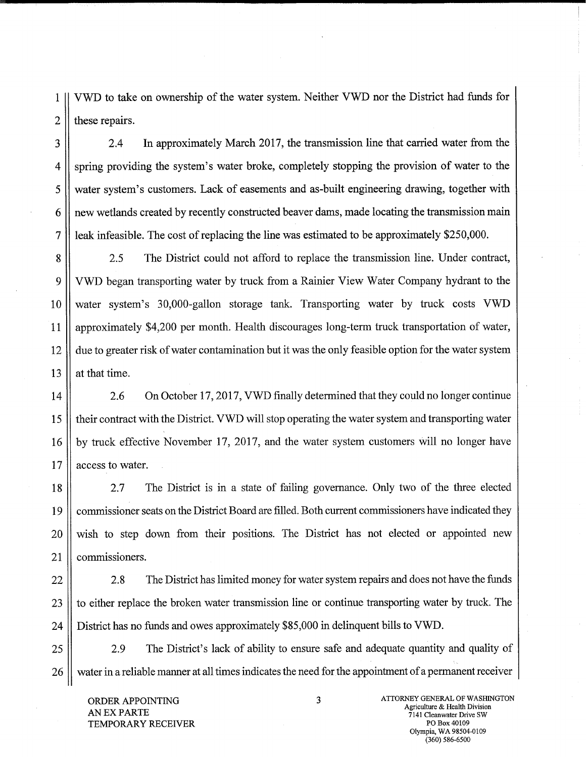1 VWD to take on ownership of the water system. Neither VWD nor the District had funds for  $2$  | these repairs.

3 2.4 In approximately March 2017, the transmission line that carried water from the 4 spring providing the system's water broke, completely stopping the provision of water to the 5 water system's customers. Lack of easements and as-built engineering drawing, together with 6 || new wetlands created by recently constructed beaver dams, made locating the transmission main 7 leak infeasible. The cost of replacing the line was estimated to be approximately \$250,000.

8 2.5 The District could not afford to replace the transmission line. Under contract, 9 VWD began transporting water by truck from a Rainier View Water Company hydrant to the 10 water system's 30,000-gallon storage tank. Transporting water by truck costs VWD 11 approximately \$4,200 per month. Health discourages long-term truck transportation of water, 12 due to greater risk of water contamination but it was the only feasible option for the water system 13  $\parallel$  at that time.

14 | 2.6 On October 17, 2017, VWD finally determined that they could no longer continue 15 their contract with the District. VWD will stop operating the water system and transporting water 16 by truck effective November 17, 2017, and the water system customers will no longer have 17 || access to water.

18 2.7 The District is in a state of failing governance. Only two of the three elected 19 commissioner seats on the District Board are filled. Both current commissioners have indicated they 20 wish to step down from their positions. The District has not elected or appointed new 21 || commissioners.

22 2.8 The District has limited money for water system repairs and does not have the funds 23 || to either replace the broken water transmission line or continue transporting water by truck. The 24 District has no funds and owes approximately \$85,000 in delinquent bills to VWD.

25 2.9 The District's lack of ability to ensure safe and adequate quantity and quality of 26 water in a reliable manner at all times indicates the need for the appointment of a permanent receiver

AN EX PARTS TEMPORARY RECEIVER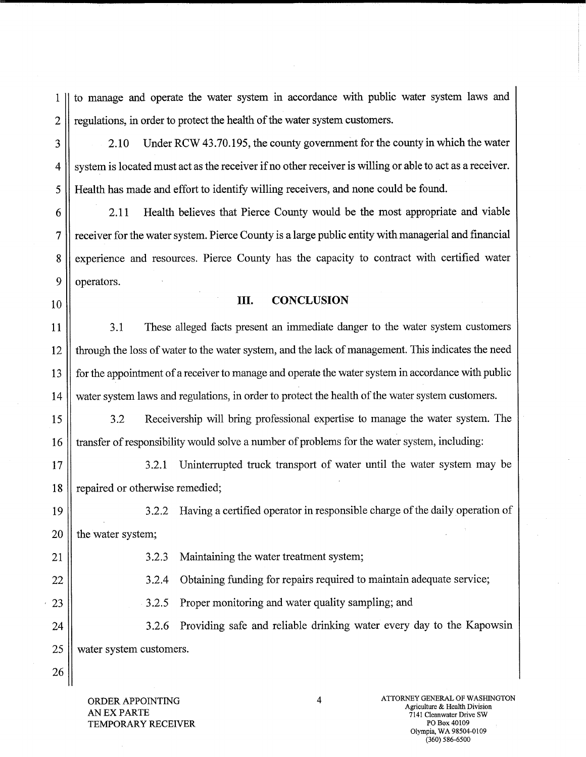1 to manage and operate the water system in accordance with public water system laws and 2 | regulations, in order to protect the health of the water system customers.

3 2.10 Under RCW 43.70.195, the county government for the county in which the water 4 | system is located must act as the receiver if no other receiver is willing or able to act as a receiver. 5 Health has made and effort to identify willing receivers, and none could be found.

6 2.11 Health believes that Pierce County would be the most appropriate and viable 7 receiver for the water system. Pierce County is a large public entity with managerial and financial 8 experience and resources. Pierce County has the capacity to contract with certified water 9 || operators.

## 10<sup>|</sup>**III.** CONCLUSION

11 | 3.1 These alleged facts present an immediate danger to the water system customers 12 through the loss of water to the water system, and the lack of management. This indicates the need 13 | for the appointment of a receiver to manage and operate the water system in accordance with public 14 water system laws and regulations, in order to protect the health of the water system customers.

15 3.2 Receivership will bring professional expertise to manage the water system. The 16 | transfer of responsibility would solve a number of problems for the water system, including:

17 1/1 18 | repaired or otherwise remedied;

19 3.2.2 Having a certified operator in responsible charge of the daily operation of  $20$  | the water system;

21 || 3.2.3 Maintaining the water treatment system;

22 | 3.2.4 Obtaining funding for repairs required to maintain adequate service;

23 1 3.2.5 Proper monitoring and water quality sampling; and

24 | 3.2.6 Providing safe and reliable drinking water every day to the Kapowsin 25 || water system customers.

ORDER APPOINTING AN EX PARTE TEMPORARY RECEIVER

26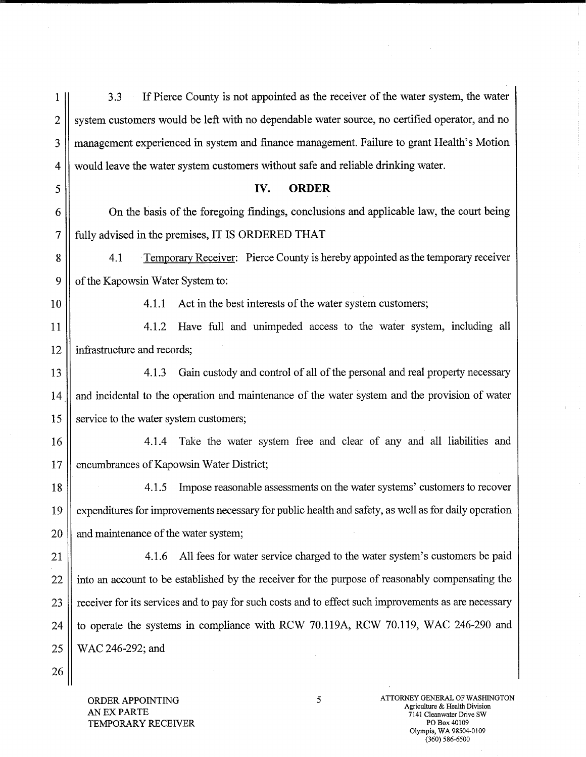| 1              | If Pierce County is not appointed as the receiver of the water system, the water<br>3.3              |  |  |
|----------------|------------------------------------------------------------------------------------------------------|--|--|
| $\overline{2}$ | system customers would be left with no dependable water source, no certified operator, and no        |  |  |
| 3              | management experienced in system and finance management. Failure to grant Health's Motion            |  |  |
| 4              | would leave the water system customers without safe and reliable drinking water.                     |  |  |
| 5              | <b>ORDER</b><br>IV.                                                                                  |  |  |
| 6              | On the basis of the foregoing findings, conclusions and applicable law, the court being              |  |  |
| 7              | fully advised in the premises, IT IS ORDERED THAT                                                    |  |  |
| 8              | Temporary Receiver: Pierce County is hereby appointed as the temporary receiver<br>4.1               |  |  |
| 9              | of the Kapowsin Water System to:                                                                     |  |  |
| 10             | Act in the best interests of the water system customers;<br>4.1.1                                    |  |  |
| 11             | Have full and unimpeded access to the water system, including all<br>4.1.2                           |  |  |
| 12             | infrastructure and records;                                                                          |  |  |
| 13             | Gain custody and control of all of the personal and real property necessary<br>4.1.3                 |  |  |
| 14             | and incidental to the operation and maintenance of the water system and the provision of water       |  |  |
| 15             | service to the water system customers;                                                               |  |  |
| 16             | Take the water system free and clear of any and all liabilities and<br>4.1.4                         |  |  |
| 17             | encumbrances of Kapowsin Water District;                                                             |  |  |
| 18             | Impose reasonable assessments on the water systems' customers to recover<br>4.1.5                    |  |  |
| 19             | expenditures for improvements necessary for public health and safety, as well as for daily operation |  |  |
| 20             | and maintenance of the water system;                                                                 |  |  |
| 21             | All fees for water service charged to the water system's customers be paid<br>4.1.6                  |  |  |
| 22             | into an account to be established by the receiver for the purpose of reasonably compensating the     |  |  |
| 23             | receiver for its services and to pay for such costs and to effect such improvements as are necessary |  |  |
| 24             | to operate the systems in compliance with RCW 70.119A, RCW 70.119, WAC 246-290 and                   |  |  |
| 25             | WAC 246-292; and                                                                                     |  |  |
| 26             |                                                                                                      |  |  |

 $\bar{\gamma}$ 

ORDER APPOINTING AN EX PARTE TEMPORARY RECEIVER  $\mathcal{I}$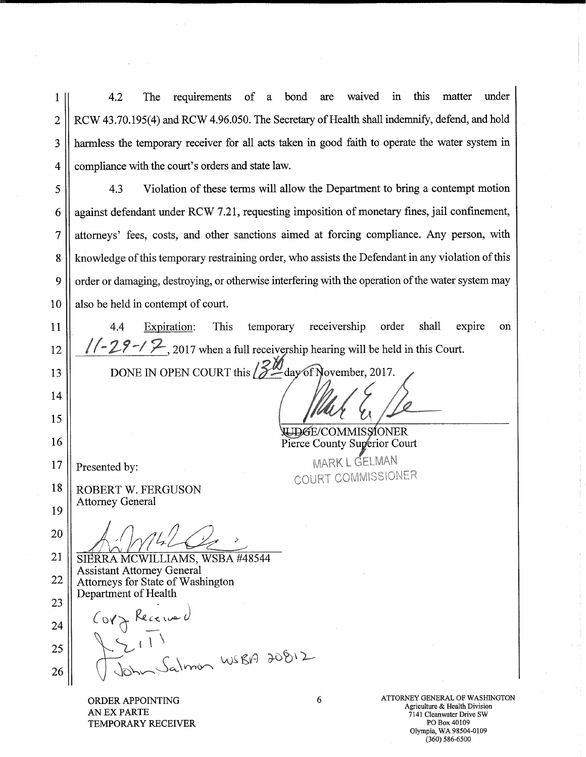4.2 The requirements of a bond are waived in this matter under RCW 43.70.195(4) and RCW 4.96.050. The Secretary of Health shall indemnify, defend, and hold harmless the temporary receiver for all acts taken in good faith to operate the water system in compliance with the court's orders and state law. 1 2 3 4

4.3 Violation of these terms will allow the Department to bring a contempt motion against defendant under RCW 7.2 1, requesting imposition of monetary fines, jail confinement, attorneys' fees, costs, and other sanctions aimed at forcing compliance. Any person, with knowledge of this temporary restraining order, who assists the Defendant in any violation of this order or damaging, destroying, or otherwise interfering with the operation of the water system may also be held in contempt of court. 5 6 7 8 9 10

4.4 Expiration: This temporary receivership order shall expire on  $1/-29$   $\rightarrow$   $2$ <sub>, 2017</sub> when a full receivership hearing will be held in this Court.

13

14

15

16

17

18

19

20

11

12

DONE IN OPEN COURT this  $\sqrt{\frac{2M}{\pi}}$ day of November, 2017.

UDGE/COMMISSIONER Pierce County Superior Court

COURT COMMISSIONER.

Presented by: MARK L GELMAN

ROBERT W. FERGUSON Attorney General

SIERRA MCWILLIAMS, WSBA #48544 Assistant Attorney General Attorneys for State of Washington Department of Health 21 22

Corz Rece. 23 24 25 26

TEMPORARY RECEIVER **PO Box 40109** 

ORDER APPOINTING **6**<br>
ATTORNEY GENERAL OF WASHINGTON<br>
Agriculture & Health Division AN EX PARTS Agriculture & Health Division 7141 Cleanwater Drive SW Olympia, WA 98504-0109 (360) 586-6500